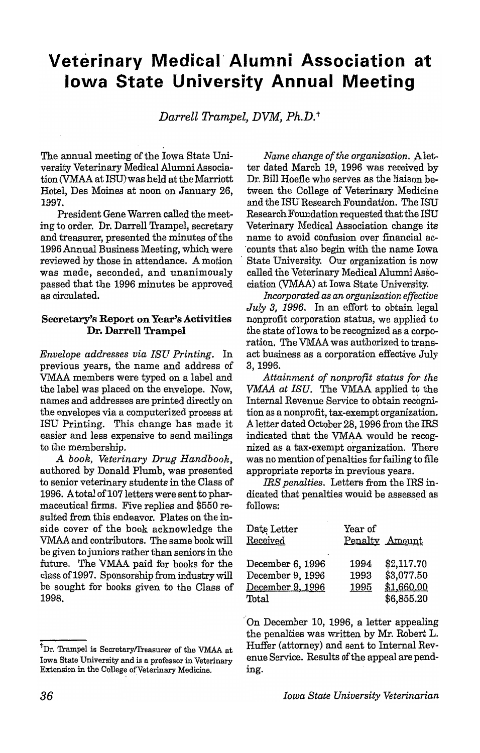# **Veterinary Medical' Alumni Association at Iowa State University Annual Meeting**

*Darrell Trampel, DVM, Ph.D.* <sup>t</sup>

The annual meeting of the Iowa State University Veterinary Medical Alumni Association CVMAA at ISU) was held at the Marriott Hotel, Des Moines at noon on January 26, 1997.

President Gene Warren called the meeting to order. Dr. Darrell Trampel, secretary and treasurer, presented the minutes of the 1996 Annual Business Meeting, which were reviewed by those in attendance. A motion was made, seconded, and unanimously passed that the 1996 minutes be approved as circulated.

#### Secretary's Report on Year's Activities Dr. Darrell Trampel

*Envelope addresses via ISU Printing.* In previous years, the name and address of VMAA members were typed on a label and the label was placed on the envelope. Now, names and addresses are printed directly on the envelopes via a computerized process at ISU Printing. This change has made it easier and less expensive to send mailings to the membership.

*A book, Veterinary Drug Handbook.*  authored by Donald Plumb, was presented to senior veterinary students in the Class of 1996. A total of 107 letters were sent to pharmaceutical firms. Five replies and \$550 resulted from this endeavor. Plates on the inside cover of the book acknowledge the VMAA and contributors. The same book will be given to juniors rather than seniors in the future. The VMAA paid for books for the class of 1997. Sponsorship from industry will be sought for books given to the Class of 1998.

*Name change of the organization.* ,Aletter dated March 19, 1996 was received by Dr. Bill Hoefle who serves as the liaison between the College of Veterinary Medicine and the ISU Research Foundation. The ISU Research Foundation requested that the ISU Veterinary Medical Association change its name to avoid confusion over financial ac- . counts that also begin. with the name Iowa . State University. Our organization is now called the Veterinary Medical Alumni Association cYMAA) at Iowa State University.

*incorporated as an organization effective July* 3, 1996. In an effort to obtain legal nonprofit corporation status, we applied to the state of Iowa to be recognized as a corporation. The VMAA was authorized to transact business as a corporation effective July 3,1996.

*Attainment of nonprofit status for the VMAA at ISU.* The VMAA applied to the Internal Revenue Service to obtain recognition as a nonprofit, tax-exempt organization. A letter dated October 28, 1996 from the IRS indicated that the VMAA would be recognized as a tax-exempt organization. There was no mention of penalties for failing to file appropriate reports in previous years.

*IRS penalties.* Letters from the IRS indicated that penalties would be assessed as follows:

| Date Letter            | Year of |                |
|------------------------|---------|----------------|
| Received               |         | Penalty Amount |
|                        |         |                |
| December 6, 1996       | 1994    | \$2,117.70     |
| December 9, 1996       | 1993    | \$3,077.50     |
| December 9, 1996       | 1995    | \$1,660.00     |
| $\operatorname{Total}$ |         | \$6,855.20     |

'On December 10, 1996, a letter appealing the penalties was written by Mr. Robert L. Huffer (attorney) and sent to Internal Revenue Service. Results of the appeal are pending.

<sup>&</sup>lt;sup>†</sup>Dr. Trampel is Secretary/Treasurer of the VMAA at Iowa State University and is a professor in Veterinary Extension in the College of Veterinary Medicine.